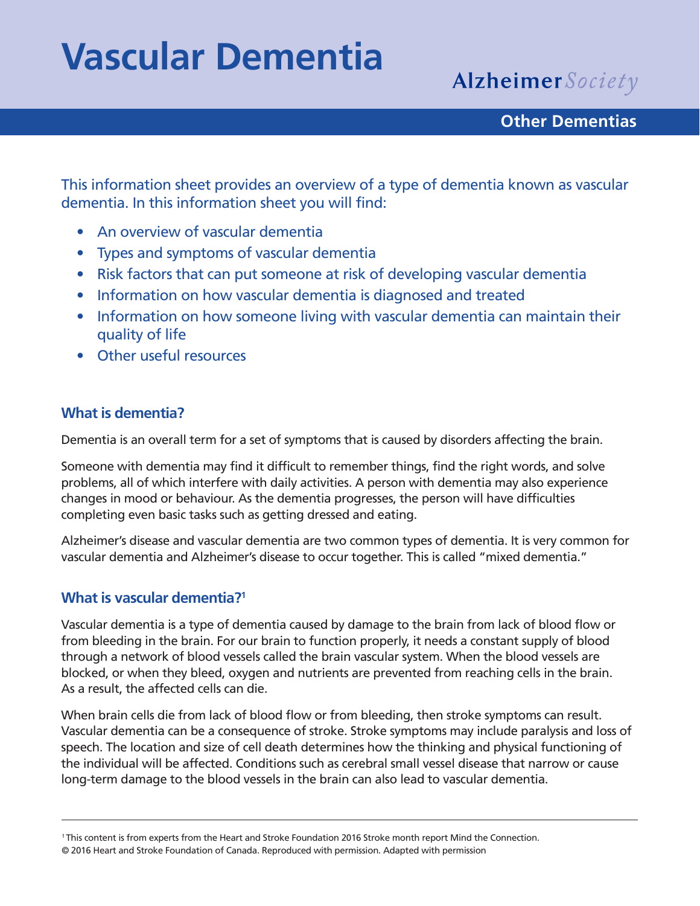# **Vascular Dementia**

Alzheimer Society

#### **Other Dementias**

This information sheet provides an overview of a type of dementia known as vascular dementia. In this information sheet you will find:

- An overview of vascular dementia
- Types and symptoms of vascular dementia
- Risk factors that can put someone at risk of developing vascular dementia
- Information on how vascular dementia is diagnosed and treated
- Information on how someone living with vascular dementia can maintain their quality of life
- Other useful resources

#### **What is dementia?**

Dementia is an overall term for a set of symptoms that is caused by disorders affecting the brain.

Someone with dementia may find it difficult to remember things, find the right words, and solve problems, all of which interfere with daily activities. A person with dementia may also experience changes in mood or behaviour. As the dementia progresses, the person will have difficulties completing even basic tasks such as getting dressed and eating.

Alzheimer's disease and vascular dementia are two common types of dementia. It is very common for vascular dementia and Alzheimer's disease to occur together. This is called "mixed dementia."

#### **What is vascular dementia?1**

Vascular dementia is a type of dementia caused by damage to the brain from lack of blood flow or from bleeding in the brain. For our brain to function properly, it needs a constant supply of blood through a network of blood vessels called the brain vascular system. When the blood vessels are blocked, or when they bleed, oxygen and nutrients are prevented from reaching cells in the brain. As a result, the affected cells can die.

When brain cells die from lack of blood flow or from bleeding, then stroke symptoms can result. Vascular dementia can be a consequence of stroke. Stroke symptoms may include paralysis and loss of speech. The location and size of cell death determines how the thinking and physical functioning of the individual will be affected. Conditions such as cerebral small vessel disease that narrow or cause long-term damage to the blood vessels in the brain can also lead to vascular dementia.

<sup>1</sup> This content is from experts from the Heart and Stroke Foundation 2016 Stroke month report Mind the Connection.

<sup>© 2016</sup> Heart and Stroke Foundation of Canada. Reproduced with permission. Adapted with permission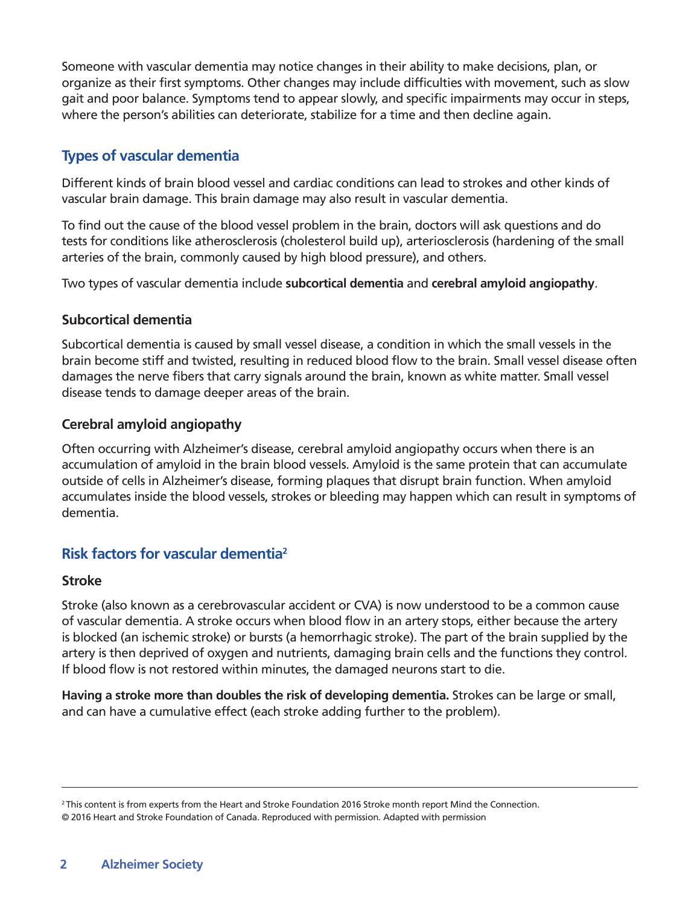Someone with vascular dementia may notice changes in their ability to make decisions, plan, or organize as their first symptoms. Other changes may include difficulties with movement, such as slow gait and poor balance. Symptoms tend to appear slowly, and specific impairments may occur in steps, where the person's abilities can deteriorate, stabilize for a time and then decline again.

#### **Types of vascular dementia**

Different kinds of brain blood vessel and cardiac conditions can lead to strokes and other kinds of vascular brain damage. This brain damage may also result in vascular dementia.

To find out the cause of the blood vessel problem in the brain, doctors will ask questions and do tests for conditions like atherosclerosis (cholesterol build up), arteriosclerosis (hardening of the small arteries of the brain, commonly caused by high blood pressure), and others.

Two types of vascular dementia include **subcortical dementia** and **cerebral amyloid angiopathy**.

#### **Subcortical dementia**

Subcortical dementia is caused by small vessel disease, a condition in which the small vessels in the brain become stiff and twisted, resulting in reduced blood flow to the brain. Small vessel disease often damages the nerve fibers that carry signals around the brain, known as white matter. Small vessel disease tends to damage deeper areas of the brain.

#### **Cerebral amyloid angiopathy**

Often occurring with Alzheimer's disease, cerebral amyloid angiopathy occurs when there is an accumulation of amyloid in the brain blood vessels. Amyloid is the same protein that can accumulate outside of cells in Alzheimer's disease, forming plaques that disrupt brain function. When amyloid accumulates inside the blood vessels, strokes or bleeding may happen which can result in symptoms of dementia.

#### **Risk factors for vascular dementia2**

#### **Stroke**

Stroke (also known as a cerebrovascular accident or CVA) is now understood to be a common cause of vascular dementia. A stroke occurs when blood flow in an artery stops, either because the artery is blocked (an ischemic stroke) or bursts (a hemorrhagic stroke). The part of the brain supplied by the artery is then deprived of oxygen and nutrients, damaging brain cells and the functions they control. If blood flow is not restored within minutes, the damaged neurons start to die.

**Having a stroke more than doubles the risk of developing dementia.** Strokes can be large or small, and can have a cumulative effect (each stroke adding further to the problem).

<sup>&</sup>lt;sup>2</sup> This content is from experts from the Heart and Stroke Foundation 2016 Stroke month report Mind the Connection. © 2016 Heart and Stroke Foundation of Canada. Reproduced with permission. Adapted with permission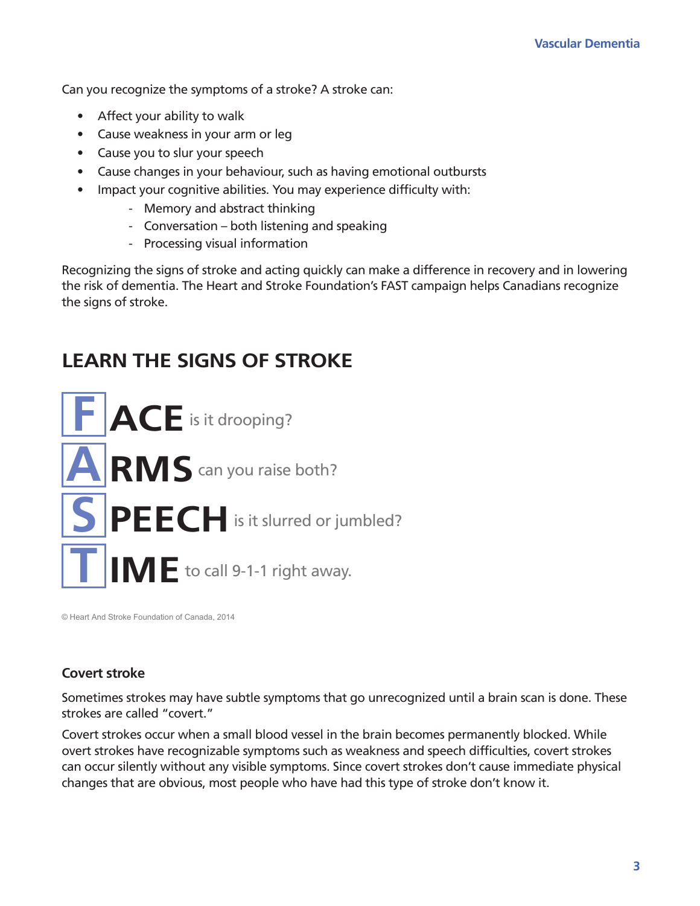Can you recognize the symptoms of a stroke? A stroke can:

- Affect your ability to walk
- Cause weakness in your arm or leg
- Cause you to slur your speech
- Cause changes in your behaviour, such as having emotional outbursts
- Impact your cognitive abilities. You may experience difficulty with:
	- Memory and abstract thinking
	- Conversation both listening and speaking
	- Processing visual information

Recognizing the signs of stroke and acting quickly can make a difference in recovery and in lowering the risk of dementia. The Heart and Stroke Foundation's FAST campaign helps Canadians recognize the signs of stroke.

### **LEARN THE SIGNS OF STROKE**



© Heart And Stroke Foundation of Canada, 2014

#### **Covert stroke**

Sometimes strokes may have subtle symptoms that go unrecognized until a brain scan is done. These strokes are called "covert."

Covert strokes occur when a small blood vessel in the brain becomes permanently blocked. While overt strokes have recognizable symptoms such as weakness and speech difficulties, covert strokes can occur silently without any visible symptoms. Since covert strokes don't cause immediate physical changes that are obvious, most people who have had this type of stroke don't know it.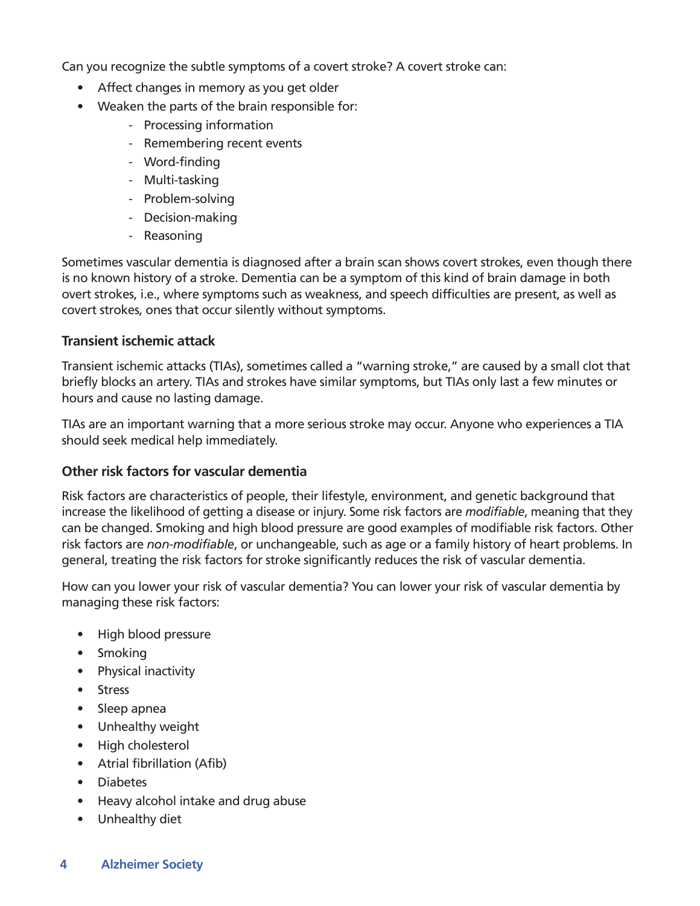Can you recognize the subtle symptoms of a covert stroke? A covert stroke can:

- Affect changes in memory as you get older
- Weaken the parts of the brain responsible for:
	- Processing information
	- Remembering recent events
	- Word-finding
	- Multi-tasking
	- Problem-solving
	- Decision-making
	- Reasoning

Sometimes vascular dementia is diagnosed after a brain scan shows covert strokes, even though there is no known history of a stroke. Dementia can be a symptom of this kind of brain damage in both overt strokes, i.e., where symptoms such as weakness, and speech difficulties are present, as well as covert strokes, ones that occur silently without symptoms.

#### **Transient ischemic attack**

Transient ischemic attacks (TIAs), sometimes called a "warning stroke," are caused by a small clot that briefly blocks an artery. TIAs and strokes have similar symptoms, but TIAs only last a few minutes or hours and cause no lasting damage.

TIAs are an important warning that a more serious stroke may occur. Anyone who experiences a TIA should seek medical help immediately.

#### **Other risk factors for vascular dementia**

Risk factors are characteristics of people, their lifestyle, environment, and genetic background that increase the likelihood of getting a disease or injury. Some risk factors are *modifiable*, meaning that they can be changed. Smoking and high blood pressure are good examples of modifiable risk factors. Other risk factors are *non-modifiable*, or unchangeable, such as age or a family history of heart problems. In general, treating the risk factors for stroke significantly reduces the risk of vascular dementia.

How can you lower your risk of vascular dementia? You can lower your risk of vascular dementia by managing these risk factors:

- High blood pressure
- Smoking
- Physical inactivity
- Stress
- Sleep apnea
- Unhealthy weight
- High cholesterol
- Atrial fibrillation (Afib)
- Diabetes
- Heavy alcohol intake and drug abuse
- Unhealthy diet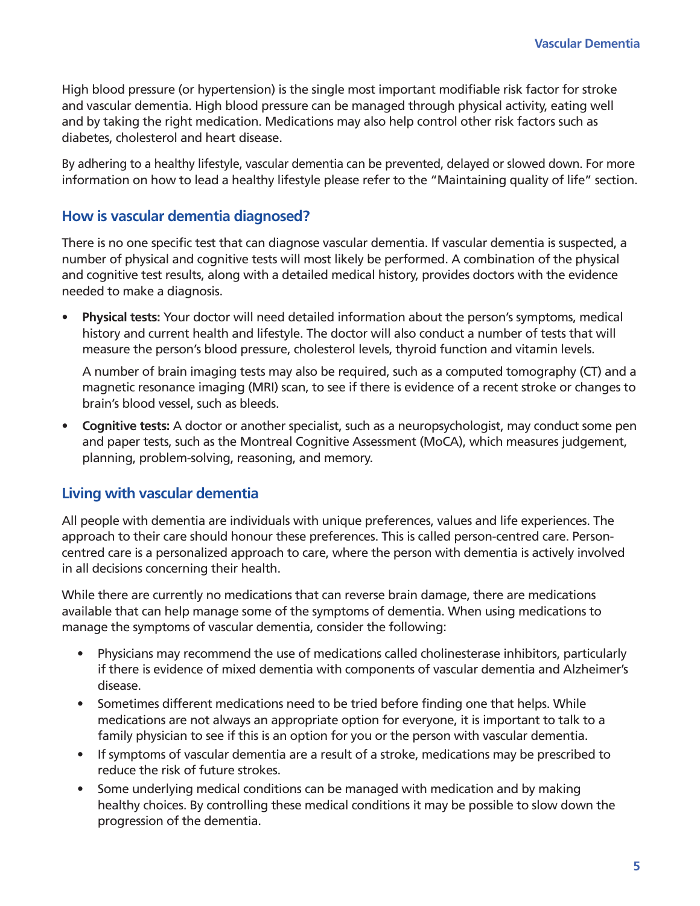High blood pressure (or hypertension) is the single most important modifiable risk factor for stroke and vascular dementia. High blood pressure can be managed through physical activity, eating well and by taking the right medication. Medications may also help control other risk factors such as diabetes, cholesterol and heart disease.

By adhering to a healthy lifestyle, vascular dementia can be prevented, delayed or slowed down. For more information on how to lead a healthy lifestyle please refer to the "Maintaining quality of life" section.

#### **How is vascular dementia diagnosed?**

There is no one specific test that can diagnose vascular dementia. If vascular dementia is suspected, a number of physical and cognitive tests will most likely be performed. A combination of the physical and cognitive test results, along with a detailed medical history, provides doctors with the evidence needed to make a diagnosis.

**• Physical tests:** Your doctor will need detailed information about the person's symptoms, medical history and current health and lifestyle. The doctor will also conduct a number of tests that will measure the person's blood pressure, cholesterol levels, thyroid function and vitamin levels.

A number of brain imaging tests may also be required, such as a computed tomography (CT) and a magnetic resonance imaging (MRI) scan, to see if there is evidence of a recent stroke or changes to brain's blood vessel, such as bleeds.

**• Cognitive tests:** A doctor or another specialist, such as a neuropsychologist, may conduct some pen and paper tests, such as the Montreal Cognitive Assessment (MoCA), which measures judgement, planning, problem-solving, reasoning, and memory.

#### **Living with vascular dementia**

All people with dementia are individuals with unique preferences, values and life experiences. The approach to their care should honour these preferences. This is called person-centred care. Personcentred care is a personalized approach to care, where the person with dementia is actively involved in all decisions concerning their health.

While there are currently no medications that can reverse brain damage, there are medications available that can help manage some of the symptoms of dementia. When using medications to manage the symptoms of vascular dementia, consider the following:

- Physicians may recommend the use of medications called cholinesterase inhibitors, particularly if there is evidence of mixed dementia with components of vascular dementia and Alzheimer's disease.
- Sometimes different medications need to be tried before finding one that helps. While medications are not always an appropriate option for everyone, it is important to talk to a family physician to see if this is an option for you or the person with vascular dementia.
- If symptoms of vascular dementia are a result of a stroke, medications may be prescribed to reduce the risk of future strokes.
- Some underlying medical conditions can be managed with medication and by making healthy choices. By controlling these medical conditions it may be possible to slow down the progression of the dementia.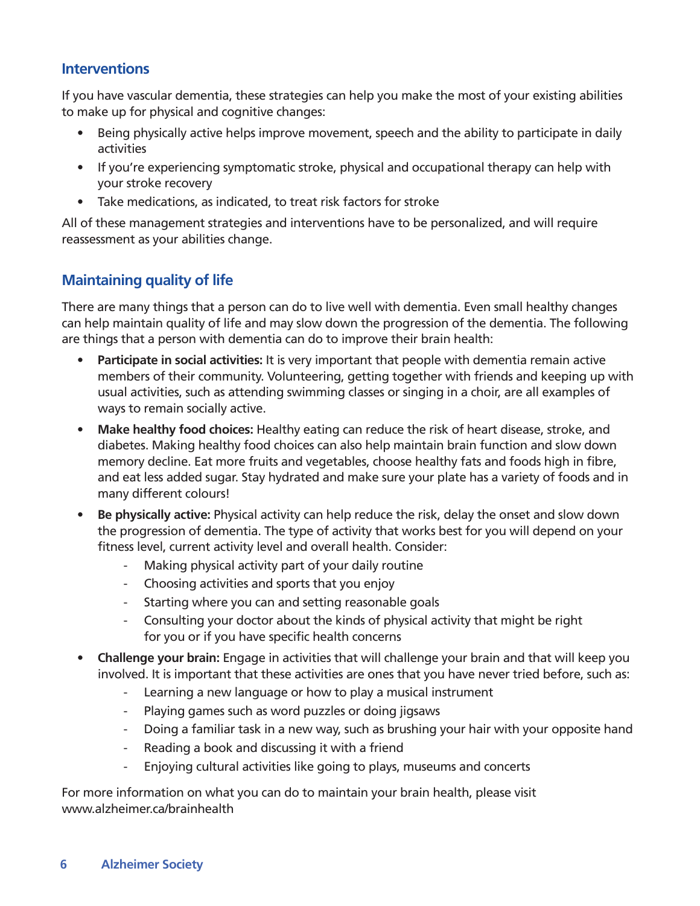#### **Interventions**

If you have vascular dementia, these strategies can help you make the most of your existing abilities to make up for physical and cognitive changes:

- Being physically active helps improve movement, speech and the ability to participate in daily activities
- If you're experiencing symptomatic stroke, physical and occupational therapy can help with your stroke recovery
- Take medications, as indicated, to treat risk factors for stroke

All of these management strategies and interventions have to be personalized, and will require reassessment as your abilities change.

#### **Maintaining quality of life**

There are many things that a person can do to live well with dementia. Even small healthy changes can help maintain quality of life and may slow down the progression of the dementia. The following are things that a person with dementia can do to improve their brain health:

- **• Participate in social activities:** It is very important that people with dementia remain active members of their community. Volunteering, getting together with friends and keeping up with usual activities, such as attending swimming classes or singing in a choir, are all examples of ways to remain socially active.
- **• Make healthy food choices:** Healthy eating can reduce the risk of heart disease, stroke, and diabetes. Making healthy food choices can also help maintain brain function and slow down memory decline. Eat more fruits and vegetables, choose healthy fats and foods high in fibre, and eat less added sugar. Stay hydrated and make sure your plate has a variety of foods and in many different colours!
- **• Be physically active:** Physical activity can help reduce the risk, delay the onset and slow down the progression of dementia. The type of activity that works best for you will depend on your fitness level, current activity level and overall health. Consider:
	- Making physical activity part of your daily routine
	- Choosing activities and sports that you enjoy
	- Starting where you can and setting reasonable goals
	- Consulting your doctor about the kinds of physical activity that might be right for you or if you have specific health concerns
- **• Challenge your brain:** Engage in activities that will challenge your brain and that will keep you involved. It is important that these activities are ones that you have never tried before, such as:
	- Learning a new language or how to play a musical instrument
	- Playing games such as word puzzles or doing jigsaws
	- Doing a familiar task in a new way, such as brushing your hair with your opposite hand
	- Reading a book and discussing it with a friend
	- Enjoying cultural activities like going to plays, museums and concerts

For more information on what you can do to maintain your brain health, please visit www.alzheimer.ca/brainhealth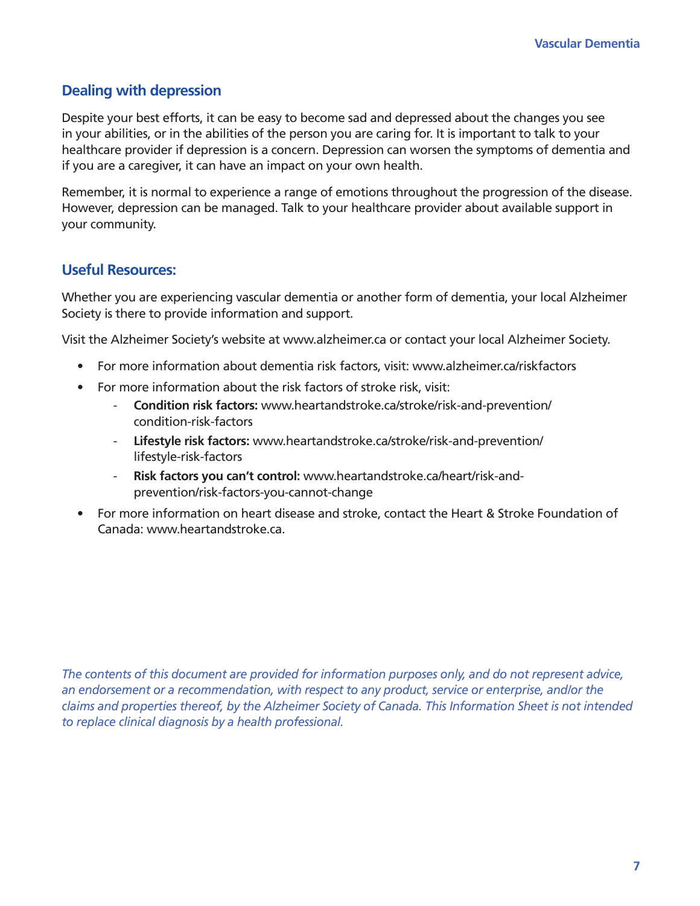#### **Dealing with depression**

Despite your best efforts, it can be easy to become sad and depressed about the changes you see in your abilities, or in the abilities of the person you are caring for. It is important to talk to your healthcare provider if depression is a concern. Depression can worsen the symptoms of dementia and if you are a caregiver, it can have an impact on your own health.

Remember, it is normal to experience a range of emotions throughout the progression of the disease. However, depression can be managed. Talk to your healthcare provider about available support in your community.

#### **Useful Resources:**

Whether you are experiencing vascular dementia or another form of dementia, your local Alzheimer Society is there to provide information and support.

Visit the Alzheimer Society's website at www.alzheimer.ca or contact your local Alzheimer Society.

- For more information about dementia risk factors, visit: www.alzheimer.ca/riskfactors
- For more information about the risk factors of stroke risk, visit:
	- **Condition risk factors:** www.heartandstroke.ca/stroke/risk-and-prevention/ condition-risk-factors
	- **Lifestyle risk factors:** www.heartandstroke.ca/stroke/risk-and-prevention/ lifestyle-risk-factors
	- **Risk factors you can't control:** www.heartandstroke.ca/heart/risk-andprevention/risk-factors-you-cannot-change
- For more information on heart disease and stroke, contact the Heart & Stroke Foundation of Canada: www.heartandstroke.ca.

*The contents of this document are provided for information purposes only, and do not represent advice, an endorsement or a recommendation, with respect to any product, service or enterprise, and/or the claims and properties thereof, by the Alzheimer Society of Canada. This Information Sheet is not intended to replace clinical diagnosis by a health professional.*